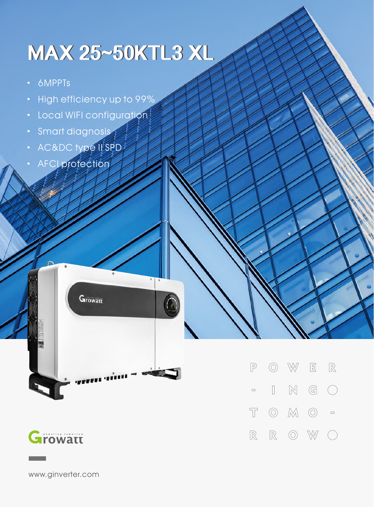## **MAX25~50KTL3XL**

- · 6MPPTs
- · High efficiency up to 99%
- · Local WIFI configuration
- · Smart diagnosis
- · AC&DC type II SPD
- · AFCI protection

**Growatt** 



 $\mathbb{R}$  $\boxed{\mathbb{P}}$  $\circledcirc$  $\bigvee\!\!\!\!\!\searrow\!\!\!\!\searrow$  $\overline{\Xi}$  $\mathbb{N}$  $\mathbb{G}$  $\hfill\Box$  $\left(\begin{array}{c}\right)$  $\Box$  $\overline{\mathbb{T}}$  $\circledcirc$  $M$  $\begin{matrix} \bigcirc \\ \bigcirc \end{matrix} \quad \begin{matrix} \Box \end{matrix}$  $\mathbb R$  $\mathbb R$  $\circledcirc$ W  $(\ )$ 

www.ginverter.com